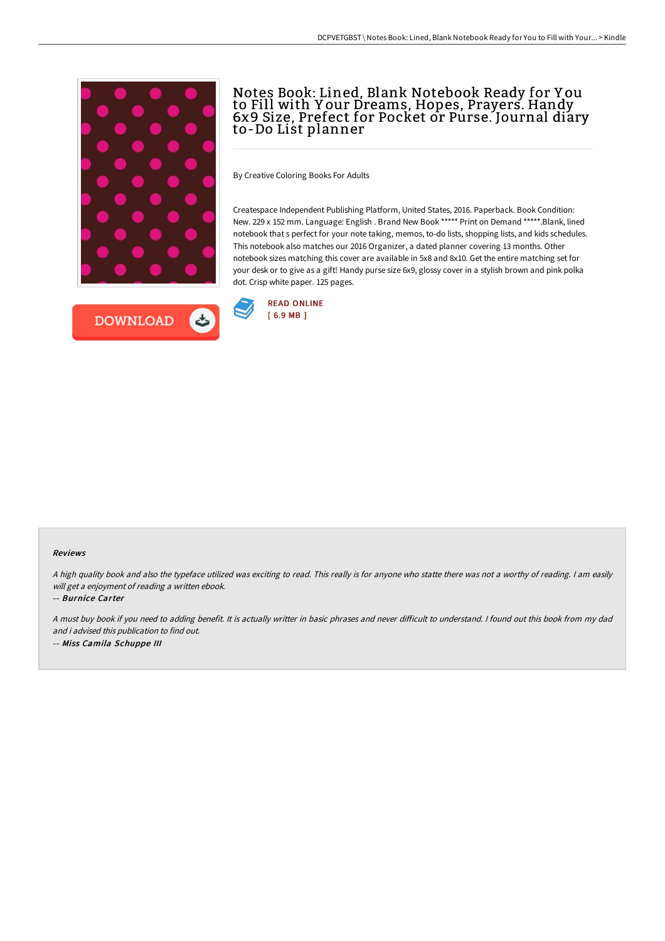

## Notes Book: Lined, Blank Notebook Ready for Y ou to Fill with Y our Dreams, Hopes, Prayers. Handy 6x9 Size, Prefect for Pocket or Purse. Journal diary to-Do List planner

By Creative Coloring Books For Adults

Createspace Independent Publishing Platform, United States, 2016. Paperback. Book Condition: New. 229 x 152 mm. Language: English . Brand New Book \*\*\*\*\* Print on Demand \*\*\*\*\*.Blank, lined notebook that s perfect for your note taking, memos, to-do lists, shopping lists, and kids schedules. This notebook also matches our 2016 Organizer, a dated planner covering 13 months. Other notebook sizes matching this cover are available in 5x8 and 8x10. Get the entire matching set for your desk or to give as a gift! Handy purse size 6x9, glossy cover in a stylish brown and pink polka dot. Crisp white paper. 125 pages.



# [ 6.9 MB ]

READ [ONLINE](http://albedo.media/notes-book-lined-blank-notebook-ready-for-you-to.html)

#### Reviews

<sup>A</sup> high quality book and also the typeface utilized was exciting to read. This really is for anyone who statte there was not <sup>a</sup> worthy of reading. <sup>I</sup> am easily will get a enjoyment of reading a written ebook.

-- Burnice Carter

A must buy book if you need to adding benefit. It is actually writter in basic phrases and never difficult to understand. I found out this book from my dad and i advised this publication to find out. -- Miss Camila Schuppe III